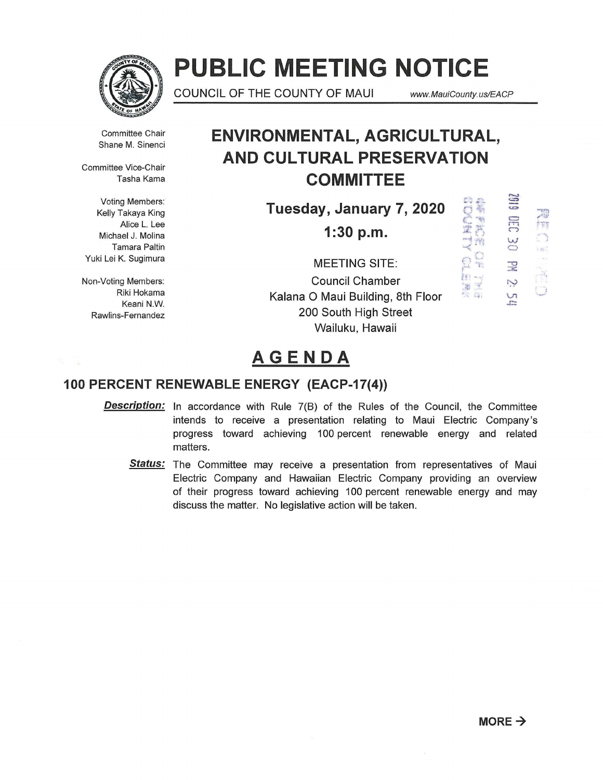

# **PUBLIC MEETING NOTICE**

COUNCIL OF THE COUNTY OF MAUl *www.* MauiCounty. us/EACP

Committee Chair Shane M. Sinenci

Committee Vice-Chair Tasha Kama

Voting Members: Kelly Takaya King Alice L. Lee Michael J. Molina Tamara Paltin Yuki Lei K. Sugimura

Non-Voting Members: Riki Hokama Keani N.W. Rawlins-Fernandez

### **ENVIRONMENTAL, AGRICULTURAL, AND CULTURAL PRESERVATION COMMITTEE**

**Tuesday, January 7, 2020** 

**1:30 p.m.** 

MEETING SITE: Council Chamber Kalana 0 Maui Building, 8th Floor 200 South High Street Wailuku, Hawaii

一样 PM 2:

 $\frac{1}{n}$  $\sum_{i=1}^m$  $\mathbb{R}$  .  $\mathbb{B}$  :  $\mathbb{B}^{\prime}$  .

Al Mil. 西海

## **AGENDA**

### **100 PERCENT RENEWABLE ENERGY (EACP-17(4))**

- **Description:** In accordance with Rule 7(B) of the Rules of the Council, the Committee intends to receive a presentation relating to Maui Electric Company's progress toward achieving 100 percent renewable energy and related matters.
	- **Status:** The Committee may receive a presentation from representatives of Maui Electric Company and Hawaiian Electric Company providing an overview of their progress toward achieving 100 percent renewable energy and may discuss the matter. No legislative action will be taken.